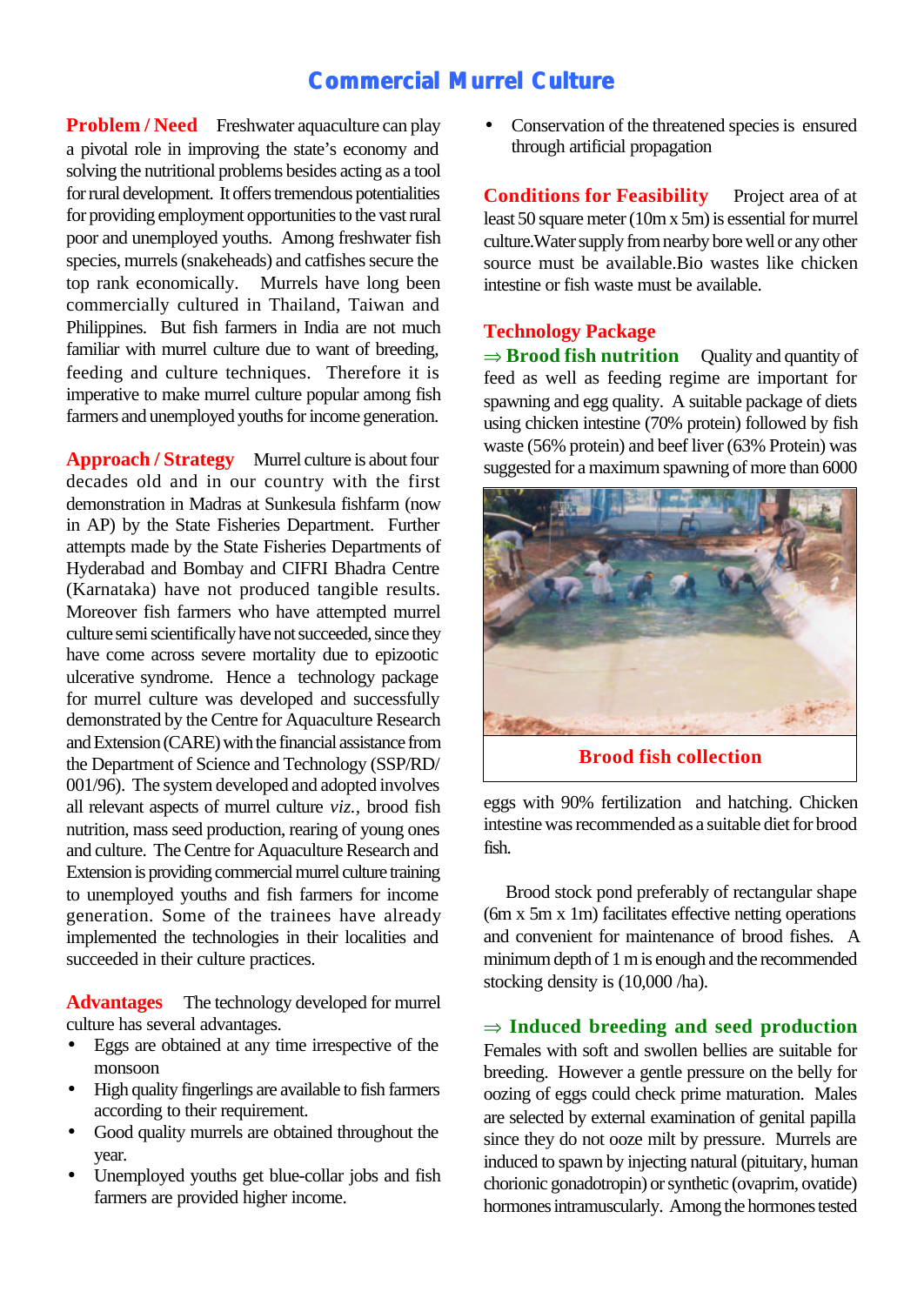# **Commercial Murrel Culture**

**Problem / Need** Freshwater aquaculture can play a pivotal role in improving the state's economy and solving the nutritional problems besides acting as a tool for rural development. It offers tremendous potentialities for providing employment opportunities to the vast rural poor and unemployed youths. Among freshwater fish species, murrels (snakeheads) and catfishes secure the top rank economically. Murrels have long been Murrels have long been commercially cultured in Thailand, Taiwan and Philippines. But fish farmers in India are not much familiar with murrel culture due to want of breeding, feeding and culture techniques. Therefore it is imperative to make murrel culture popular among fish farmers and unemployed youths for income generation.

**Approach / Strategy** Murrel culture is about four decades old and in our country with the first demonstration in Madras at Sunkesula fishfarm (now in AP) by the State Fisheries Department. Further attempts made by the State Fisheries Departments of Hyderabad and Bombay and CIFRI Bhadra Centre (Karnataka) have not produced tangible results. Moreover fish farmers who have attempted murrel culture semi scientifically have not succeeded, since they have come across severe mortality due to epizootic ulcerative syndrome. Hence a technology package for murrel culture was developed and successfully demonstrated by the Centre for Aquaculture Research and Extension (CARE) with the financial assistance from the Department of Science and Technology (SSP/RD/ 001/96). The system developed and adopted involves all relevant aspects of murrel culture *viz.,* brood fish nutrition, mass seed production, rearing of young ones and culture. The Centre for Aquaculture Research and Extension is providing commercial murrel culture training to unemployed youths and fish farmers for income generation. Some of the trainees have already implemented the technologies in their localities and succeeded in their culture practices.

**Advantages** The technology developed for murrel culture has several advantages.

- Eggs are obtained at any time irrespective of the monsoon
- High quality fingerlings are available to fish farmers according to their requirement.
- Good quality murrels are obtained throughout the year.
- Unemployed youths get blue-collar jobs and fish farmers are provided higher income.

Conservation of the threatened species is ensured through artificial propagation

**Conditions for Feasibility** Project area of at least 50 square meter (10m x 5m) is essential for murrel culture.Water supply from nearby bore well or any other source must be available.Bio wastes like chicken intestine or fish waste must be available.

## **Technology Package**

 $\Rightarrow$  **Brood fish nutrition** Quality and quantity of feed as well as feeding regime are important for spawning and egg quality. A suitable package of diets using chicken intestine (70% protein) followed by fish waste (56% protein) and beef liver (63% Protein) was suggested for a maximum spawning of more than 6000



**Brood fish collection**

eggs with 90% fertilization and hatching. Chicken intestine was recommended as a suitable diet for brood fish.

Brood stock pond preferably of rectangular shape (6m x 5m x 1m) facilitates effective netting operations and convenient for maintenance of brood fishes. A minimum depth of 1 m is enough and the recommended stocking density is (10,000 /ha).

 $\Rightarrow$  **Induced breeding and seed production** Females with soft and swollen bellies are suitable for breeding. However a gentle pressure on the belly for oozing of eggs could check prime maturation. Males are selected by external examination of genital papilla since they do not ooze milt by pressure. Murrels are induced to spawn by injecting natural (pituitary, human chorionic gonadotropin) or synthetic (ovaprim, ovatide) hormones intramuscularly. Among the hormones tested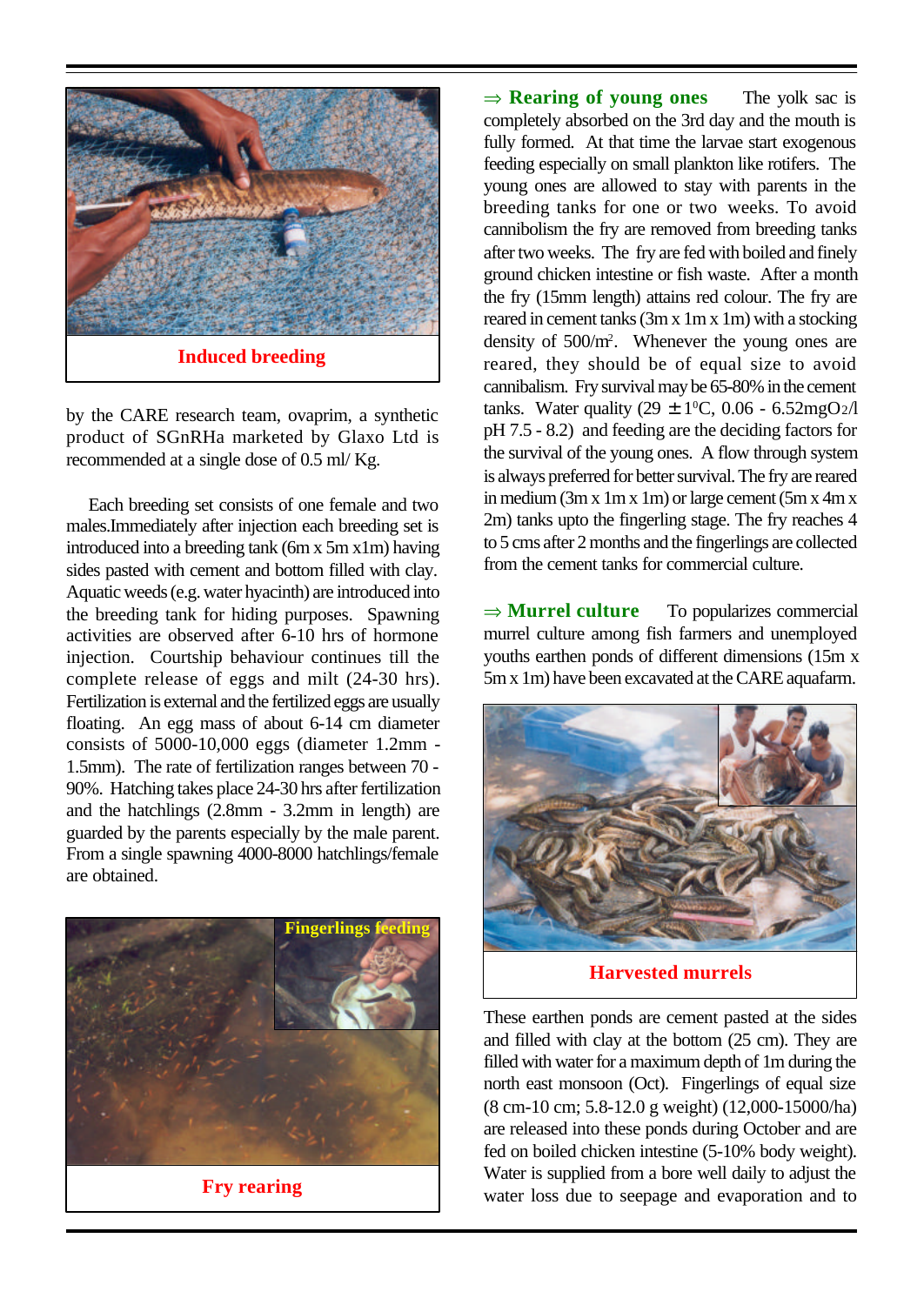

by the CARE research team, ovaprim, a synthetic product of SGnRHa marketed by Glaxo Ltd is recommended at a single dose of 0.5 ml/ Kg.

Each breeding set consists of one female and two males.Immediately after injection each breeding set is introduced into a breeding tank (6m x 5m x1m) having sides pasted with cement and bottom filled with clay. Aquatic weeds (e.g. water hyacinth) are introduced into the breeding tank for hiding purposes. Spawning activities are observed after 6-10 hrs of hormone injection. Courtship behaviour continues till the complete release of eggs and milt (24-30 hrs). Fertilization is external and the fertilized eggs are usually floating. An egg mass of about 6-14 cm diameter consists of 5000-10,000 eggs (diameter 1.2mm - 1.5mm). The rate of fertilization ranges between 70 - 90%. Hatching takes place 24-30 hrs after fertilization and the hatchlings (2.8mm - 3.2mm in length) are guarded by the parents especially by the male parent. From a single spawning 4000-8000 hatchlings/female are obtained.



**Fry rearing**

 $\Rightarrow$  **Rearing of young ones** The yolk sac is completely absorbed on the 3rd day and the mouth is fully formed. At that time the larvae start exogenous feeding especially on small plankton like rotifers. The young ones are allowed to stay with parents in the breeding tanks for one or two weeks. To avoid cannibolism the fry are removed from breeding tanks after two weeks. The fry are fed with boiled and finely ground chicken intestine or fish waste. After a month the fry (15mm length) attains red colour. The fry are reared in cement tanks (3m x 1m x 1m) with a stocking density of 500/m<sup>2</sup> . Whenever the young ones are reared, they should be of equal size to avoid cannibalism. Fry survival may be 65-80% in the cement tanks. Water quality  $(29 \pm 1^0C, 0.06 - 6.52mgO<sub>2</sub>/l)$ pH 7.5 - 8.2) and feeding are the deciding factors for the survival of the young ones. A flow through system is always preferred for better survival. The fry are reared in medium (3m x 1m x 1m) or large cement (5m x 4m x 2m) tanks upto the fingerling stage. The fry reaches 4 to 5 cms after 2 months and the fingerlings are collected from the cement tanks for commercial culture.

 $\Rightarrow$  **Murrel culture** To popularizes commercial murrel culture among fish farmers and unemployed youths earthen ponds of different dimensions (15m x 5m x 1m) have been excavated at the CARE aquafarm.



**Harvested murrels**

These earthen ponds are cement pasted at the sides and filled with clay at the bottom (25 cm). They are filled with water for a maximum depth of 1m during the north east monsoon (Oct). Fingerlings of equal size (8 cm-10 cm; 5.8-12.0 g weight) (12,000-15000/ha) are released into these ponds during October and are fed on boiled chicken intestine (5-10% body weight). Water is supplied from a bore well daily to adjust the water loss due to seepage and evaporation and to